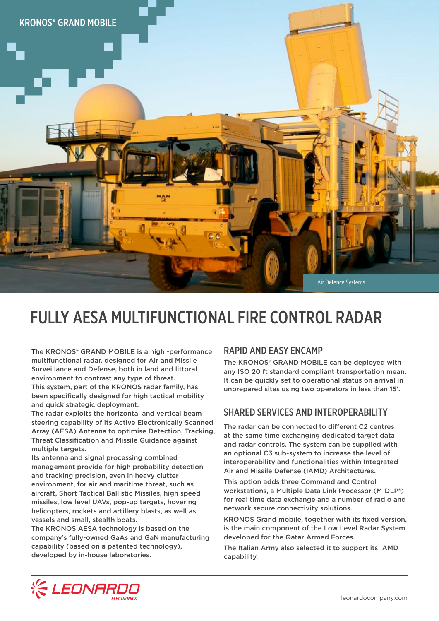

# FULLY AESA MULTIFUNCTIONAL FIRE CONTROL RADAR

The KRONOS® GRAND MOBILE is a high -performance multifunctional radar, designed for Air and Missile Surveillance and Defense, both in land and littoral environment to contrast any type of threat. This system, part of the KRONOS radar family, has been specifically designed for high tactical mobility and quick strategic deployment.

The radar exploits the horizontal and vertical beam steering capability of its Active Electronically Scanned Array (AESA) Antenna to optimise Detection, Tracking, Threat Classification and Missile Guidance against multiple targets.

Its antenna and signal processing combined management provide for high probability detection and tracking precision, even in heavy clutter environment, for air and maritime threat, such as aircraft, Short Tactical Ballistic Missiles, high speed missiles, low level UAVs, pop-up targets, hovering helicopters, rockets and artillery blasts, as well as vessels and small, stealth boats.

The KRONOS AESA technology is based on the company's fully-owned GaAs and GaN manufacturing capability (based on a patented technology), developed by in-house laboratories.

### RAPID AND EASY ENCAMP

The KRONOS® GRAND MOBILE can be deployed with any ISO 20 ft standard compliant transportation mean. It can be quickly set to operational status on arrival in unprepared sites using two operators in less than 15'.

## SHARED SERVICES AND INTEROPERABILITY

The radar can be connected to different C2 centres at the same time exchanging dedicated target data and radar controls. The system can be supplied with an optional C3 sub-system to increase the level of interoperability and functionalities within Integrated Air and Missile Defense (IAMD) Architectures.

This option adds three Command and Control workstations, a Multiple Data Link Processor (M-DLP®) for real time data exchange and a number of radio and network secure connectivity solutions.

KRONOS Grand mobile, together with its fixed version, is the main component of the Low Level Radar System developed for the Qatar Armed Forces.

The Italian Army also selected it to support its IAMD capability.